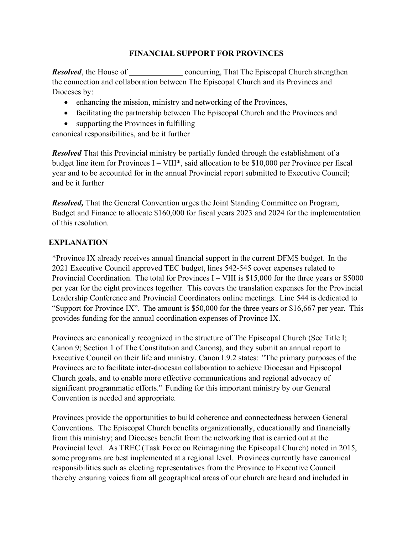## **FINANCIAL SUPPORT FOR PROVINCES**

*Resolved*, the House of concurring, That The Episcopal Church strengthen the connection and collaboration between The Episcopal Church and its Provinces and Dioceses by:

- enhancing the mission, ministry and networking of the Provinces,
- facilitating the partnership between The Episcopal Church and the Provinces and
- supporting the Provinces in fulfilling

canonical responsibilities, and be it further

*Resolved* That this Provincial ministry be partially funded through the establishment of a budget line item for Provinces I – VIII\*, said allocation to be \$10,000 per Province per fiscal year and to be accounted for in the annual Provincial report submitted to Executive Council; and be it further

*Resolved,* That the General Convention urges the Joint Standing Committee on Program, Budget and Finance to allocate \$160,000 for fiscal years 2023 and 2024 for the implementation of this resolution.

## **EXPLANATION**

\*Province IX already receives annual financial support in the current DFMS budget. In the 2021 Executive Council approved TEC budget, lines 542-545 cover expenses related to Provincial Coordination. The total for Provinces I – VIII is \$15,000 for the three years or \$5000 per year for the eight provinces together. This covers the translation expenses for the Provincial Leadership Conference and Provincial Coordinators online meetings. Line 544 is dedicated to "Support for Province IX". The amount is \$50,000 for the three years or \$16,667 per year. This provides funding for the annual coordination expenses of Province IX.

Provinces are canonically recognized in the structure of The Episcopal Church (See Title I; Canon 9; Section 1 of The Constitution and Canons), and they submit an annual report to Executive Council on their life and ministry. Canon I.9.2 states: "The primary purposes of the Provinces are to facilitate inter-diocesan collaboration to achieve Diocesan and Episcopal Church goals, and to enable more effective communications and regional advocacy of significant programmatic efforts." Funding for this important ministry by our General Convention is needed and appropriate.

Provinces provide the opportunities to build coherence and connectedness between General Conventions. The Episcopal Church benefits organizationally, educationally and financially from this ministry; and Dioceses benefit from the networking that is carried out at the Provincial level. As TREC (Task Force on Reimagining the Episcopal Church) noted in 2015, some programs are best implemented at a regional level. Provinces currently have canonical responsibilities such as electing representatives from the Province to Executive Council thereby ensuring voices from all geographical areas of our church are heard and included in